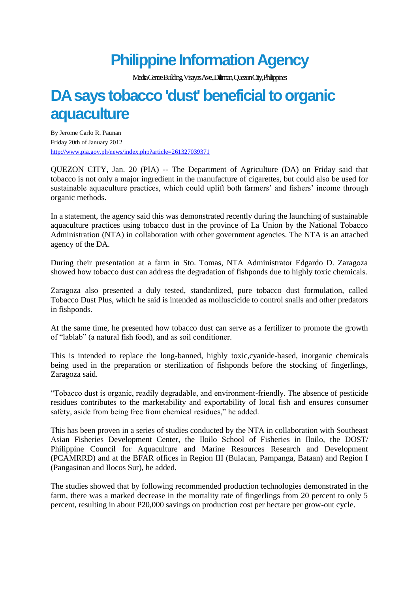## **Philippine Information Agency**

Media Centre Building, Visayas Ave., Diliman, Quezon City, Philippines

## **DA says tobacco 'dust' beneficial to organic aquaculture**

By Jerome Carlo R. Paunan Friday 20th of January 2012 <http://www.pia.gov.ph/news/index.php?article=261327039371>

QUEZON CITY, Jan. 20 (PIA) -- The Department of Agriculture (DA) on Friday said that tobacco is not only a major ingredient in the manufacture of cigarettes, but could also be used for sustainable aquaculture practices, which could uplift both farmers' and fishers' income through organic methods.

In a statement, the agency said this was demonstrated recently during the launching of sustainable aquaculture practices using tobacco dust in the province of La Union by the National Tobacco Administration (NTA) in collaboration with other government agencies. The NTA is an attached agency of the DA.

During their presentation at a farm in Sto. Tomas, NTA Administrator Edgardo D. Zaragoza showed how tobacco dust can address the degradation of fishponds due to highly toxic chemicals.

Zaragoza also presented a duly tested, standardized, pure tobacco dust formulation, called Tobacco Dust Plus, which he said is intended as molluscicide to control snails and other predators in fishponds.

At the same time, he presented how tobacco dust can serve as a fertilizer to promote the growth of "lablab" (a natural fish food), and as soil conditioner.

This is intended to replace the long-banned, highly toxic,cyanide-based, inorganic chemicals being used in the preparation or sterilization of fishponds before the stocking of fingerlings, Zaragoza said.

"Tobacco dust is organic, readily degradable, and environment-friendly. The absence of pesticide residues contributes to the marketability and exportability of local fish and ensures consumer safety, aside from being free from chemical residues," he added.

This has been proven in a series of studies conducted by the NTA in collaboration with Southeast Asian Fisheries Development Center, the Iloilo School of Fisheries in Iloilo, the DOST/ Philippine Council for Aquaculture and Marine Resources Research and Development (PCAMRRD) and at the BFAR offices in Region III (Bulacan, Pampanga, Bataan) and Region I (Pangasinan and Ilocos Sur), he added.

The studies showed that by following recommended production technologies demonstrated in the farm, there was a marked decrease in the mortality rate of fingerlings from 20 percent to only 5 percent, resulting in about P20,000 savings on production cost per hectare per grow-out cycle.